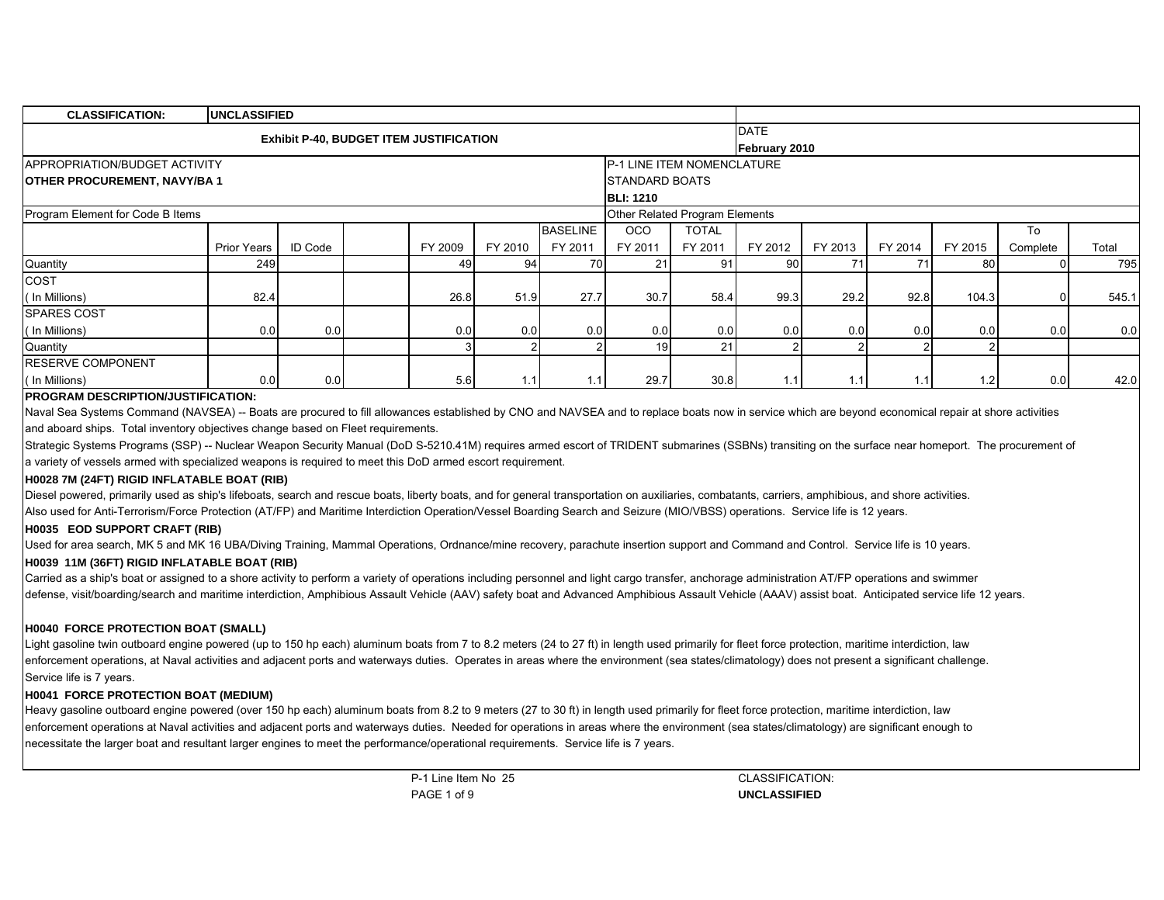| <b>CLASSIFICATION:</b>               | <b>UNCLASSIFIED</b> |         |                                                |         |                 |                                    |              |               |         |         |         |          |       |
|--------------------------------------|---------------------|---------|------------------------------------------------|---------|-----------------|------------------------------------|--------------|---------------|---------|---------|---------|----------|-------|
|                                      |                     |         | <b>Exhibit P-40, BUDGET ITEM JUSTIFICATION</b> |         |                 |                                    |              | <b>DATE</b>   |         |         |         |          |       |
|                                      |                     |         |                                                |         |                 |                                    |              | February 2010 |         |         |         |          |       |
| <b>APPROPRIATION/BUDGET ACTIVITY</b> |                     |         |                                                |         |                 | <b>IP-1 LINE ITEM NOMENCLATURE</b> |              |               |         |         |         |          |       |
| <b>OTHER PROCUREMENT, NAVY/BA1</b>   |                     |         |                                                |         |                 | <b>ISTANDARD BOATS</b>             |              |               |         |         |         |          |       |
|                                      |                     |         |                                                |         |                 | <b>BLI: 1210</b>                   |              |               |         |         |         |          |       |
| Program Element for Code B Items     |                     |         |                                                |         |                 | Other Related Program Elements     |              |               |         |         |         |          |       |
|                                      |                     |         |                                                |         | <b>BASELINE</b> | <b>OCO</b>                         | <b>TOTAL</b> |               |         |         |         | To       |       |
|                                      | Prior Years         | ID Code | FY 2009                                        | FY 2010 | FY 2011         | FY 2011                            | FY 2011      | FY 2012       | FY 2013 | FY 2014 | FY 2015 | Complete | Total |
| Quantity                             | <b>249</b>          |         | 49                                             | 94      | 70              | 21                                 | 91           | -90 I         | 71      | 71      | 80      |          | 795   |
| COST                                 |                     |         |                                                |         |                 |                                    |              |               |         |         |         |          |       |
| (In Millions)                        | 82.4                |         | 26.8                                           | 51.9    | 27.7            | 30.7                               | 58.4         | 99.3          | 29.2    | 92.8    | 104.3   |          | 545.1 |
| <b>SPARES COST</b>                   |                     |         |                                                |         |                 |                                    |              |               |         |         |         |          |       |
| (In Millions)                        | 0.0                 | 0.0     | 0.0                                            | 0.0     | 0.0             | 0.0                                | 0.0          | 0.0           | 0.0     | 0.0     | 0.0     | 0.0      | 0.0   |
| Quantity                             |                     |         |                                                |         | 2               | 19                                 | 21           |               |         |         |         |          |       |
| <b>RESERVE COMPONENT</b>             |                     |         |                                                |         |                 |                                    |              |               |         |         |         |          |       |
| (In Millions)                        | 0.0                 | 0.01    | 5.6                                            | 1.1     | 1.1             | 29.7                               | 30.8         | 1.1           | 1.1     | 1.1     | 1.2     | 0.0      | 42.0  |

# **PROGRAM DESCRIPTION/JUSTIFICATION:**

Naval Sea Systems Command (NAVSEA) -- Boats are procured to fill allowances established by CNO and NAVSEA and to replace boats now in service which are beyond economical repair at shore activities and aboard ships. Total inventory objectives change based on Fleet requirements.

Strategic Systems Programs (SSP) -- Nuclear Weapon Security Manual (DoD S-5210.41M) requires armed escort of TRIDENT submarines (SSBNs) transiting on the surface near homeport. The procurement of a variety of vessels armed with specialized weapons is required to meet this DoD armed escort requirement.

# **H0028 7M (24FT) RIGID INFLATABLE BOAT (RIB)**

Diesel powered, primarily used as ship's lifeboats, search and rescue boats, liberty boats, and for general transportation on auxiliaries, combatants, carriers, amphibious, and shore activities. Also used for Anti-Terrorism/Force Protection (AT/FP) and Maritime Interdiction Operation/Vessel Boarding Search and Seizure (MIO/VBSS) operations. Service life is 12 years.

#### **H0035 EOD SUPPORT CRAFT (RIB)**

Used for area search, MK 5 and MK 16 UBA/Diving Training, Mammal Operations, Ordnance/mine recovery, parachute insertion support and Command and Control. Service life is 10 years.

# **H0039 11M (36FT) RIGID INFLATABLE BOAT (RIB)**

Carried as a ship's boat or assigned to a shore activity to perform a variety of operations including personnel and light cargo transfer, anchorage administration AT/FP operations and swimmer defense, visit/boarding/search and maritime interdiction, Amphibious Assault Vehicle (AAV) safety boat and Advanced Amphibious Assault Vehicle (AAAV) assist boat. Anticipated service life 12 years.

#### **H0040 FORCE PROTECTION BOAT (SMALL)**

Light gasoline twin outboard engine powered (up to 150 hp each) aluminum boats from 7 to 8.2 meters (24 to 27 ft) in length used primarily for fleet force protection, maritime interdiction, law enforcement operations, at Naval activities and adjacent ports and waterways duties. Operates in areas where the environment (sea states/climatology) does not present a significant challenge. Service life is 7 years.

#### **H0041 FORCE PROTECTION BOAT (MEDIUM)**

Heavy gasoline outboard engine powered (over 150 hp each) aluminum boats from 8.2 to 9 meters (27 to 30 ft) in length used primarily for fleet force protection, maritime interdiction, law enforcement operations at Naval activities and adjacent ports and waterways duties. Needed for operations in areas where the environment (sea states/climatology) are significant enough to necessitate the larger boat and resultant larger engines to meet the performance/operational requirements. Service life is 7 years.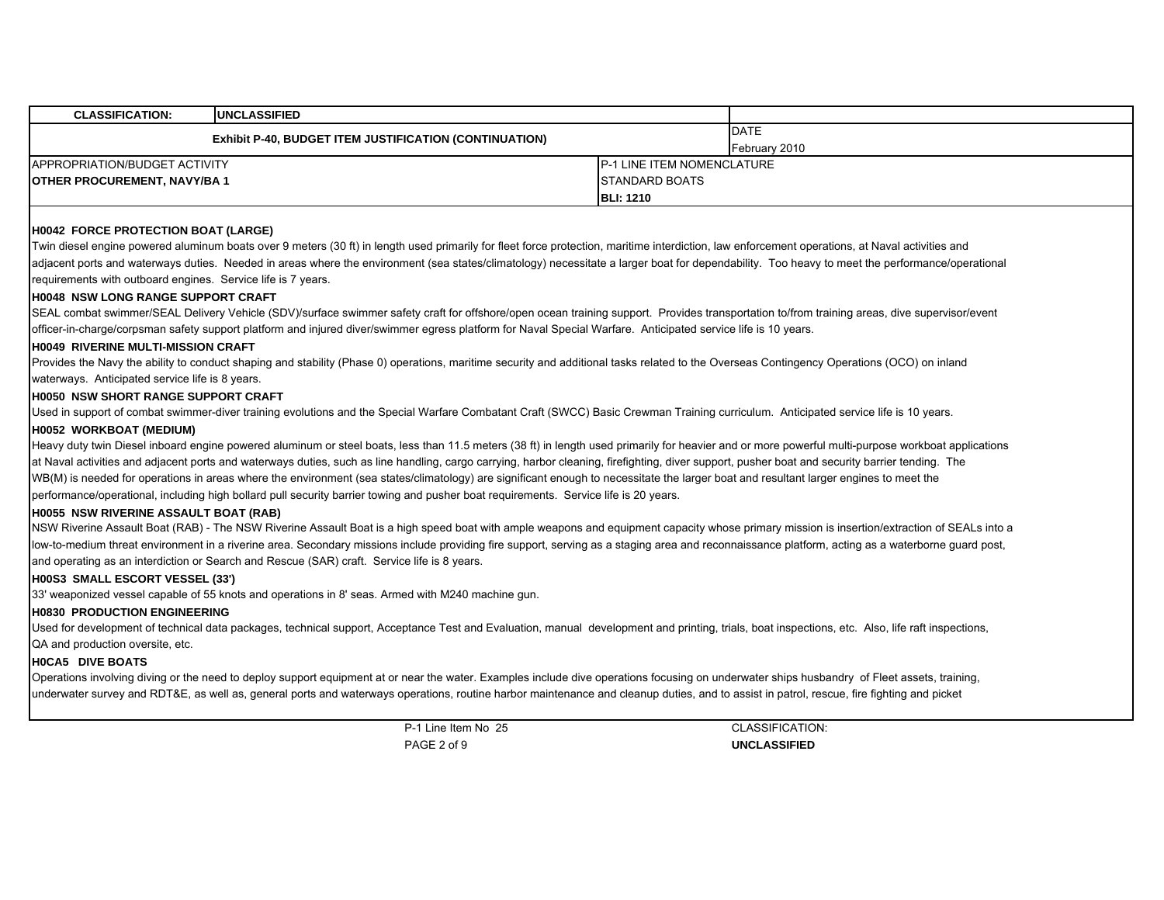| <b>CLASSIFICATION:</b>             | <b>IUNCLASSIFIED</b>                                          |                            |               |
|------------------------------------|---------------------------------------------------------------|----------------------------|---------------|
|                                    | <b>Exhibit P-40, BUDGET ITEM JUSTIFICATION (CONTINUATION)</b> |                            | <b>DATE</b>   |
|                                    |                                                               |                            | February 2010 |
| APPROPRIATION/BUDGET ACTIVITY      |                                                               | P-1 LINE ITEM NOMENCLATURE |               |
| <b>OTHER PROCUREMENT, NAVY/BA1</b> |                                                               | <b>ISTANDARD BOATS</b>     |               |
|                                    |                                                               | <b>BLI: 1210</b>           |               |

# **H0042 FORCE PROTECTION BOAT (LARGE)**

Twin diesel engine powered aluminum boats over 9 meters (30 ft) in length used primarily for fleet force protection, maritime interdiction, law enforcement operations, at Naval activities and adjacent ports and waterways duties. Needed in areas where the environment (sea states/climatology) necessitate a larger boat for dependability. Too heavy to meet the performance/operational requirements with outboard engines. Service life is 7 years.

#### **H0048 NSW LONG RANGE SUPPORT CRAFT**

SEAL combat swimmer/SEAL Delivery Vehicle (SDV)/surface swimmer safety craft for offshore/open ocean training support. Provides transportation to/from training areas, dive supervisor/event officer-in-charge/corpsman safety support platform and injured diver/swimmer egress platform for Naval Special Warfare. Anticipated service life is 10 years.

#### **H0049 RIVERINE MULTI-MISSION CRAFT**

Provides the Navy the ability to conduct shaping and stability (Phase 0) operations, maritime security and additional tasks related to the Overseas Contingency Operations (OCO) on inland

# waterways. Anticipated service life is 8 years.

# **H0050 NSW SHORT RANGE SUPPORT CRAFT**

Used in support of combat swimmer-diver training evolutions and the Special Warfare Combatant Craft (SWCC) Basic Crewman Training curriculum. Anticipated service life is 10 years.

#### **H0052 WORKBOAT (MEDIUM)**

Heavy duty twin Diesel inboard engine powered aluminum or steel boats, less than 11.5 meters (38 ft) in length used primarily for heavier and or more powerful multi-purpose workboat applications at Naval activities and adjacent ports and waterways duties, such as line handling, cargo carrying, harbor cleaning, firefighting, diver support, pusher boat and security barrier tending. The WB(M) is needed for operations in areas where the environment (sea states/climatology) are significant enough to necessitate the larger boat and resultant larger engines to meet the performance/operational, including high bollard pull security barrier towing and pusher boat requirements. Service life is 20 years.

#### **H0055 NSW RIVERINE ASSAULT BOAT (RAB)**

NSW Riverine Assault Boat (RAB) - The NSW Riverine Assault Boat is a high speed boat with ample weapons and equipment capacity whose primary mission is insertion/extraction of SEALs into a low-to-medium threat environment in a riverine area. Secondary missions include providing fire support, serving as a staging area and reconnaissance platform, acting as a waterborne guard post, and operating as an interdiction or Search and Rescue (SAR) craft. Service life is 8 years.

#### **H00S3 SMALL ESCORT VESSEL (33')**

33' weaponized vessel capable of 55 knots and operations in 8' seas. Armed with M240 machine gun.

### **H0830 PRODUCTION ENGINEERING**

Used for development of technical data packages, technical support, Acceptance Test and Evaluation, manual development and printing, trials, boat inspections, etc. Also, life raft inspections, QA and production oversite, etc.

#### **H0CA5 DIVE BOATS**

Operations involving diving or the need to deploy support equipment at or near the water. Examples include dive operations focusing on underwater ships husbandry of Fleet assets, training, underwater survey and RDT&E, as well as, general ports and waterways operations, routine harbor maintenance and cleanup duties, and to assist in patrol, rescue, fire fighting and picket

> P-1 Line Item No 25PAGE 2 of 9

CLASSIFICATION:**UNCLASSIFIED**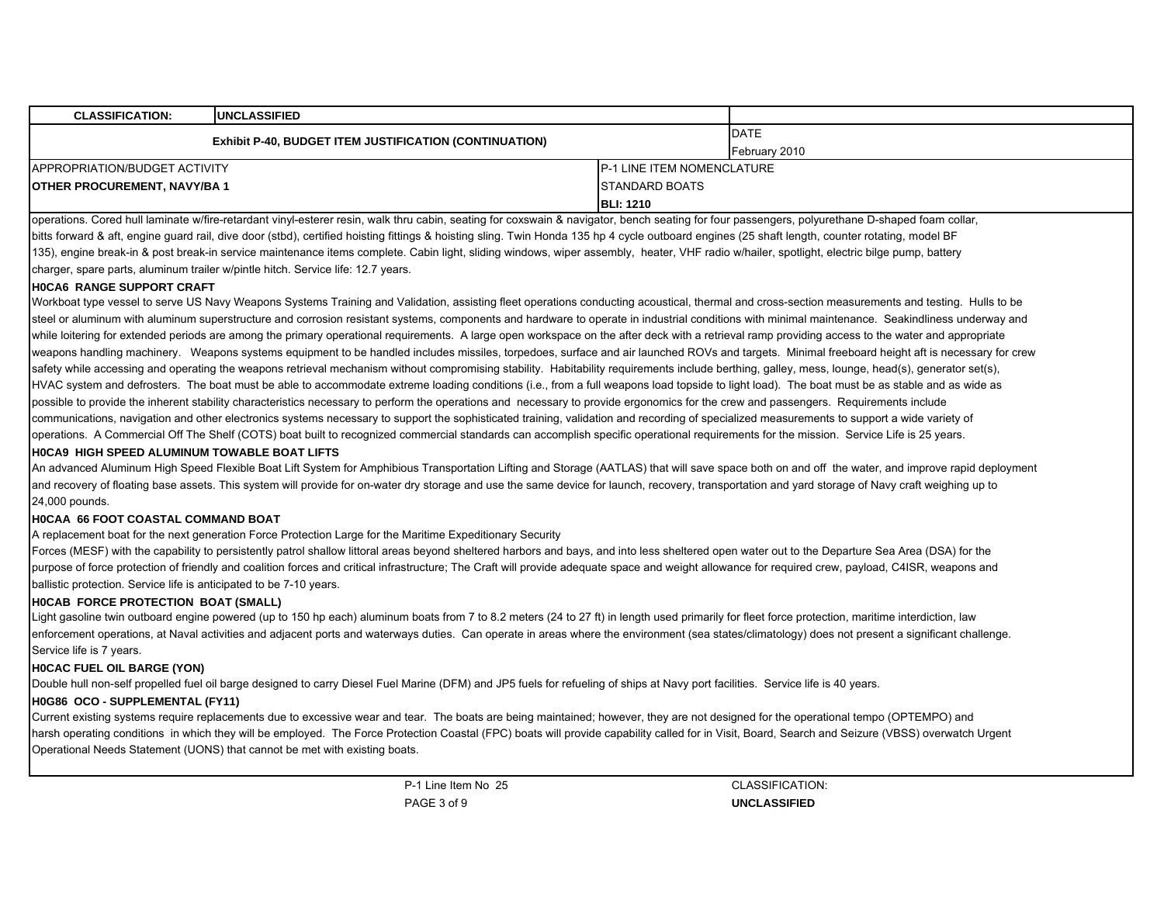| <b>CLASSIFICATION:</b>             | <b>IUNCLASSIFIED</b>                                          |                            |               |  |
|------------------------------------|---------------------------------------------------------------|----------------------------|---------------|--|
|                                    | <b>Exhibit P-40, BUDGET ITEM JUSTIFICATION (CONTINUATION)</b> |                            | <b>DATE</b>   |  |
|                                    |                                                               |                            | February 2010 |  |
| APPROPRIATION/BUDGET ACTIVITY      |                                                               | P-1 LINE ITEM NOMENCLATURE |               |  |
| <b>OTHER PROCUREMENT, NAVY/BA1</b> |                                                               | <b>STANDARD BOATS</b>      |               |  |
|                                    |                                                               | <b>BLI: 1210</b>           |               |  |

operations. Cored hull laminate w/fire-retardant vinyl-esterer resin, walk thru cabin, seating for coxswain & navigator, bench seating for four passengers, polyurethane D-shaped foam collar, bitts forward & aft, engine guard rail, dive door (stbd), certified hoisting fittings & hoisting sling. Twin Honda 135 hp 4 cycle outboard engines (25 shaft length, counter rotating, model BF 135), engine break-in & post break-in service maintenance items complete. Cabin light, sliding windows, wiper assembly, heater, VHF radio w/hailer, spotlight, electric bilge pump, battery charger, spare parts, aluminum trailer w/pintle hitch. Service life: 12.7 years.

# **H0CA6 RANGE SUPPORT CRAFT**

Workboat type vessel to serve US Navy Weapons Systems Training and Validation, assisting fleet operations conducting acoustical, thermal and cross-section measurements and testing. Hulls to be steel or aluminum with aluminum superstructure and corrosion resistant systems, components and hardware to operate in industrial conditions with minimal maintenance. Seakindliness underway and while loitering for extended periods are among the primary operational requirements. A large open workspace on the after deck with a retrieval ramp providing access to the water and appropriate weapons handling machinery. Weapons systems equipment to be handled includes missiles, torpedoes, surface and air launched ROVs and targets. Minimal freeboard height aft is necessary for crew safety while accessing and operating the weapons retrieval mechanism without compromising stability. Habitability requirements include berthing, galley, mess, lounge, head(s), generator set(s), HVAC system and defrosters. The boat must be able to accommodate extreme loading conditions (i.e., from a full weapons load topside to light load). The boat must be as stable and as wide as possible to provide the inherent stability characteristics necessary to perform the operations and necessary to provide ergonomics for the crew and passengers. Requirements include communications, navigation and other electronics systems necessary to support the sophisticated training, validation and recording of specialized measurements to support a wide variety of operations. A Commercial Off The Shelf (COTS) boat built to recognized commercial standards can accomplish specific operational requirements for the mission. Service Life is 25 years.

# **H0CA9 HIGH SPEED ALUMINUM TOWABLE BOAT LIFTS**

An advanced Aluminum High Speed Flexible Boat Lift System for Amphibious Transportation Lifting and Storage (AATLAS) that will save space both on and off the water, and improve rapid deployment and recovery of floating base assets. This system will provide for on-water dry storage and use the same device for launch, recovery, transportation and yard storage of Navy craft weighing up to 24,000 pounds.

# **H0CAA 66 FOOT COASTAL COMMAND BOAT**

A replacement boat for the next generation Force Protection Large for the Maritime Expeditionary Security

Forces (MESF) with the capability to persistently patrol shallow littoral areas beyond sheltered harbors and bays, and into less sheltered open water out to the Departure Sea Area (DSA) for the purpose of force protection of friendly and coalition forces and critical infrastructure; The Craft will provide adequate space and weight allowance for required crew, payload, C4ISR, weapons and ballistic protection. Service life is anticipated to be 7-10 years.

# **H0CAB FORCE PROTECTION BOAT (SMALL)**

Light gasoline twin outboard engine powered (up to 150 hp each) aluminum boats from 7 to 8.2 meters (24 to 27 ft) in length used primarily for fleet force protection, maritime interdiction, law enforcement operations, at Naval activities and adjacent ports and waterways duties. Can operate in areas where the environment (sea states/climatology) does not present a significant challenge. Service life is 7 years.

#### **H0CAC FUEL OIL BARGE (YON)**

Double hull non-self propelled fuel oil barge designed to carry Diesel Fuel Marine (DFM) and JP5 fuels for refueling of ships at Navy port facilities. Service life is 40 years.

# **H0G86 OCO - SUPPLEMENTAL (FY11)**

Current existing systems require replacements due to excessive wear and tear. The boats are being maintained; however, they are not designed for the operational tempo (OPTEMPO) and harsh operating conditions in which they will be employed. The Force Protection Coastal (FPC) boats will provide capability called for in Visit, Board, Search and Seizure (VBSS) overwatch Urgent Operational Needs Statement (UONS) that cannot be met with existing boats.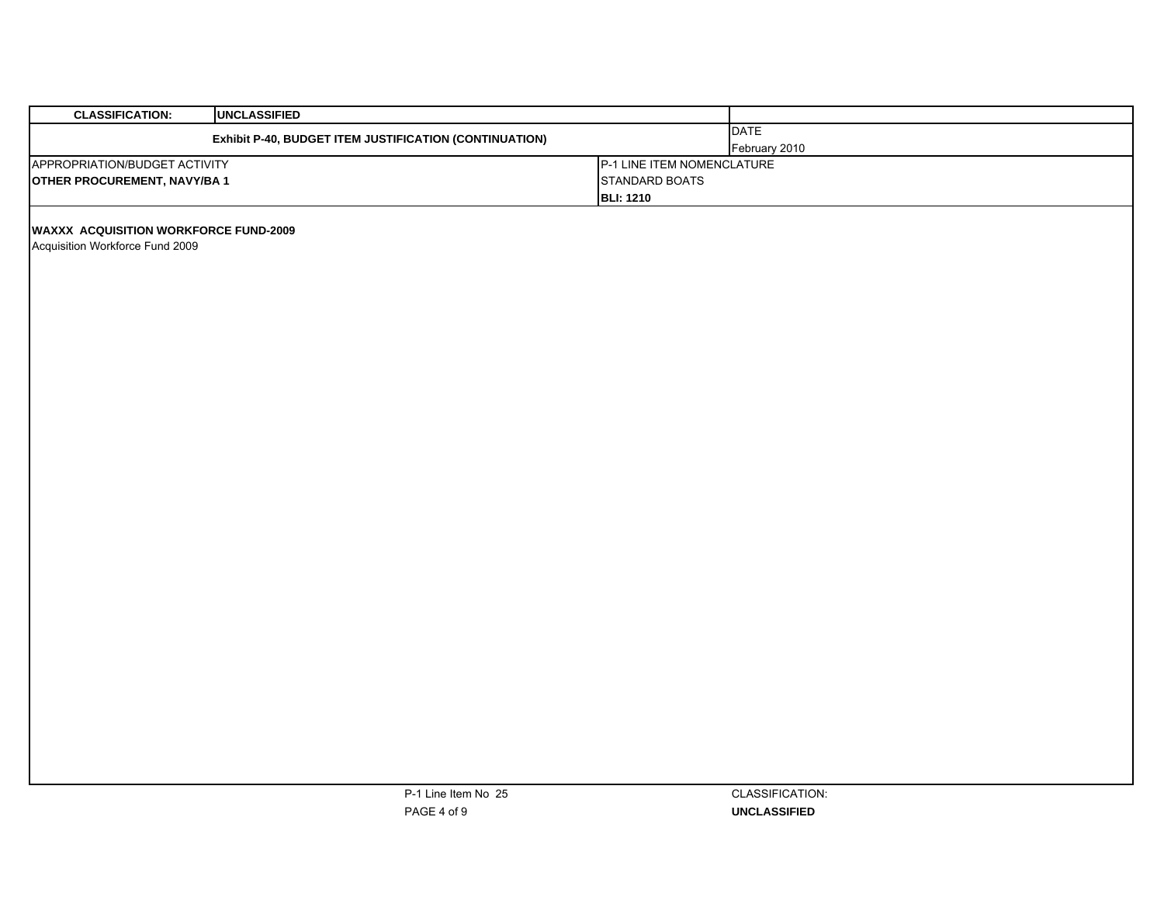| <b>CLASSIFICATION:</b><br><b>UNCLASSIFIED</b>                                   |                                                                  |                              |
|---------------------------------------------------------------------------------|------------------------------------------------------------------|------------------------------|
| Exhibit P-40, BUDGET ITEM JUSTIFICATION (CONTINUATION)                          |                                                                  | <b>DATE</b><br>February 2010 |
| APPROPRIATION/BUDGET ACTIVITY<br><b>OTHER PROCUREMENT, NAVY/BA1</b>             | P-1 LINE ITEM NOMENCLATURE<br>STANDARD BOATS<br><b>BLI: 1210</b> |                              |
| <b>WAXXX ACQUISITION WORKFORCE FUND-2009</b><br>Acquisition Workforce Fund 2009 |                                                                  |                              |
|                                                                                 |                                                                  |                              |
|                                                                                 |                                                                  |                              |
|                                                                                 |                                                                  |                              |
|                                                                                 |                                                                  |                              |
|                                                                                 |                                                                  |                              |
|                                                                                 |                                                                  |                              |
|                                                                                 |                                                                  |                              |
|                                                                                 |                                                                  |                              |
|                                                                                 |                                                                  |                              |
|                                                                                 |                                                                  |                              |
| P-1 Line Item No 25                                                             |                                                                  | CLASSIFICATION:              |

**UNCLASSIFIED**

PAGE 4 of 9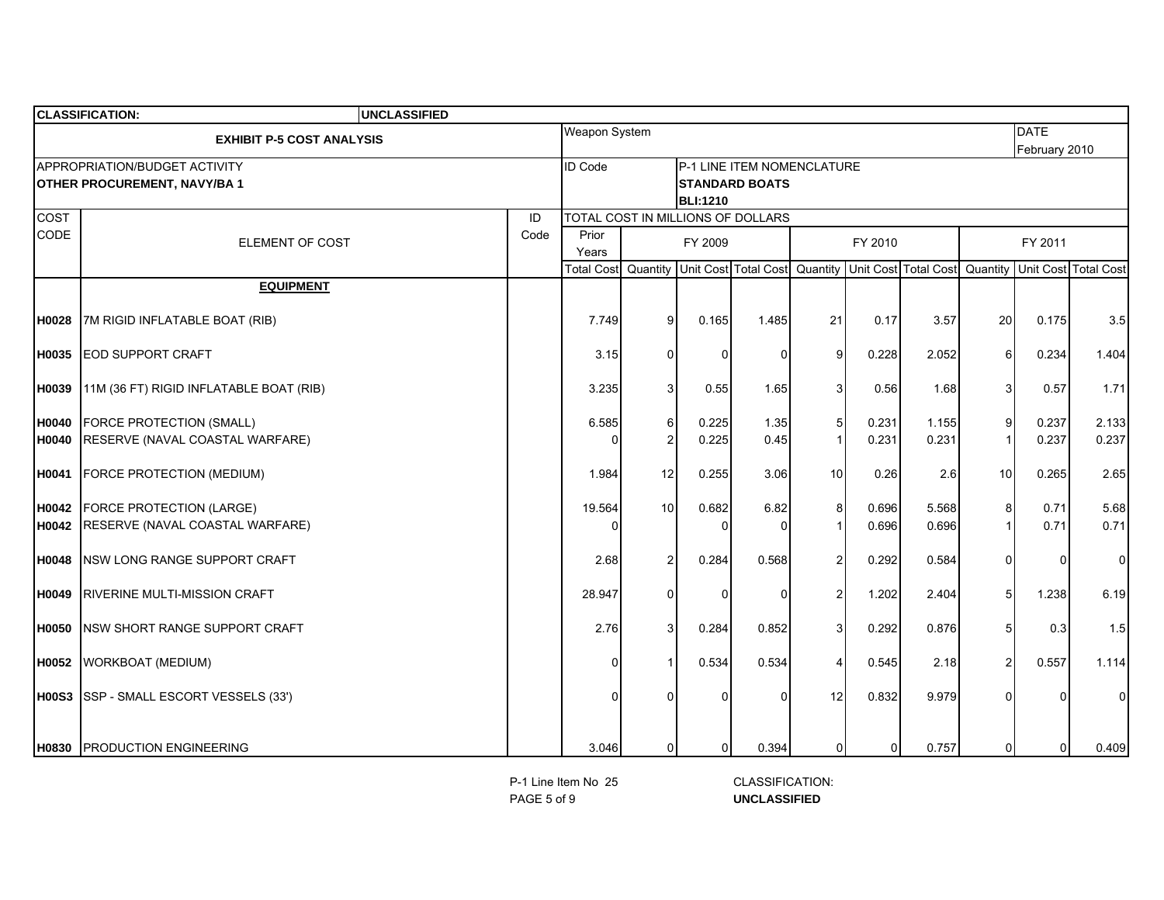|              | <b>CLASSIFICATION:</b><br><b>UNCLASSIFIED</b>                       |      |                |                 |                 |                                                     |                |         |                                                                                               |                |                              |                      |
|--------------|---------------------------------------------------------------------|------|----------------|-----------------|-----------------|-----------------------------------------------------|----------------|---------|-----------------------------------------------------------------------------------------------|----------------|------------------------------|----------------------|
|              | <b>EXHIBIT P-5 COST ANALYSIS</b>                                    |      | Weapon System  |                 |                 |                                                     |                |         |                                                                                               |                | <b>DATE</b><br>February 2010 |                      |
|              | APPROPRIATION/BUDGET ACTIVITY<br><b>OTHER PROCUREMENT, NAVY/BA1</b> |      | ID Code        |                 | <b>BLI:1210</b> | P-1 LINE ITEM NOMENCLATURE<br><b>STANDARD BOATS</b> |                |         |                                                                                               |                |                              |                      |
| <b>COST</b>  |                                                                     | ID   |                |                 |                 | TOTAL COST IN MILLIONS OF DOLLARS                   |                |         |                                                                                               |                |                              |                      |
| CODE         | ELEMENT OF COST                                                     | Code | Prior<br>Years |                 | FY 2009         |                                                     |                | FY 2010 |                                                                                               |                | FY 2011                      |                      |
|              |                                                                     |      |                |                 |                 |                                                     |                |         | Total Cost   Quantity   Unit Cost   Total Cost   Quantity   Unit Cost   Total Cost   Quantity |                |                              | Unit Cost Total Cost |
|              | <b>EQUIPMENT</b>                                                    |      |                |                 |                 |                                                     |                |         |                                                                                               |                |                              |                      |
| H0028        | 7M RIGID INFLATABLE BOAT (RIB)                                      |      | 7.749          | 9 <sup>1</sup>  | 0.165           | 1.485                                               | 21             | 0.17    | 3.57                                                                                          | 20             | 0.175                        | 3.5                  |
| H0035        | <b>EOD SUPPORT CRAFT</b>                                            |      | 3.15           | $\Omega$        | O               | $\Omega$                                            | 9              | 0.228   | 2.052                                                                                         | 6              | 0.234                        | 1.404                |
| H0039        | 11M (36 FT) RIGID INFLATABLE BOAT (RIB)                             |      | 3.235          | 3               | 0.55            | 1.65                                                | 3              | 0.56    | 1.68                                                                                          | 3              | 0.57                         | 1.71                 |
| <b>H0040</b> | <b>FORCE PROTECTION (SMALL)</b>                                     |      | 6.585          | 6               | 0.225           | 1.35                                                | 5              | 0.231   | 1.155                                                                                         | 9              | 0.237                        | 2.133                |
| <b>H0040</b> | RESERVE (NAVAL COASTAL WARFARE)                                     |      |                | $\overline{c}$  | 0.225           | 0.45                                                |                | 0.231   | 0.231                                                                                         | $\mathbf 1$    | 0.237                        | 0.237                |
| H0041        | FORCE PROTECTION (MEDIUM)                                           |      | 1.984          | 12              | 0.255           | 3.06                                                | 10             | 0.26    | 2.6                                                                                           | 10             | 0.265                        | 2.65                 |
| H0042        | <b>FORCE PROTECTION (LARGE)</b>                                     |      | 19.564         | 10 <sup>1</sup> | 0.682           | 6.82                                                | 8              | 0.696   | 5.568                                                                                         | 8              | 0.71                         | 5.68                 |
| H0042        | RESERVE (NAVAL COASTAL WARFARE)                                     |      |                |                 | 0               | $\Omega$                                            |                | 0.696   | 0.696                                                                                         | $\mathbf{1}$   | 0.71                         | 0.71                 |
| H0048        | <b>INSW LONG RANGE SUPPORT CRAFT</b>                                |      | 2.68           | $\overline{2}$  | 0.284           | 0.568                                               | $\overline{2}$ | 0.292   | 0.584                                                                                         | 0              | O                            | $\mathbf 0$          |
| H0049        | IRIVERINE MULTI-MISSION CRAFT                                       |      | 28.947         | 0               | O               | $\Omega$                                            | 2              | 1.202   | 2.404                                                                                         | 5              | 1.238                        | 6.19                 |
| <b>H0050</b> | <b>INSW SHORT RANGE SUPPORT CRAFT</b>                               |      | 2.76           | $\overline{3}$  | 0.284           | 0.852                                               | 3              | 0.292   | 0.876                                                                                         | 5              | 0.3                          | 1.5                  |
| <b>H0052</b> | WORKBOAT (MEDIUM)                                                   |      |                |                 | 0.534           | 0.534                                               |                | 0.545   | 2.18                                                                                          | $\overline{2}$ | 0.557                        | 1.114                |
|              | H00S3 SSP - SMALL ESCORT VESSELS (33')                              |      |                | 0               |                 | $\Omega$                                            | 12             | 0.832   | 9.979                                                                                         |                |                              | $\mathbf 0$          |
|              | H0830 PRODUCTION ENGINEERING                                        |      | 3.046          | $\overline{0}$  | $\overline{0}$  | 0.394                                               | 0              | 01      | 0.757                                                                                         | 0              | $\overline{0}$               | 0.409                |

PAGE 5 of 9

 **UNCLASSIFIED** P-1 Line Item No 25 CLASSIFICATION: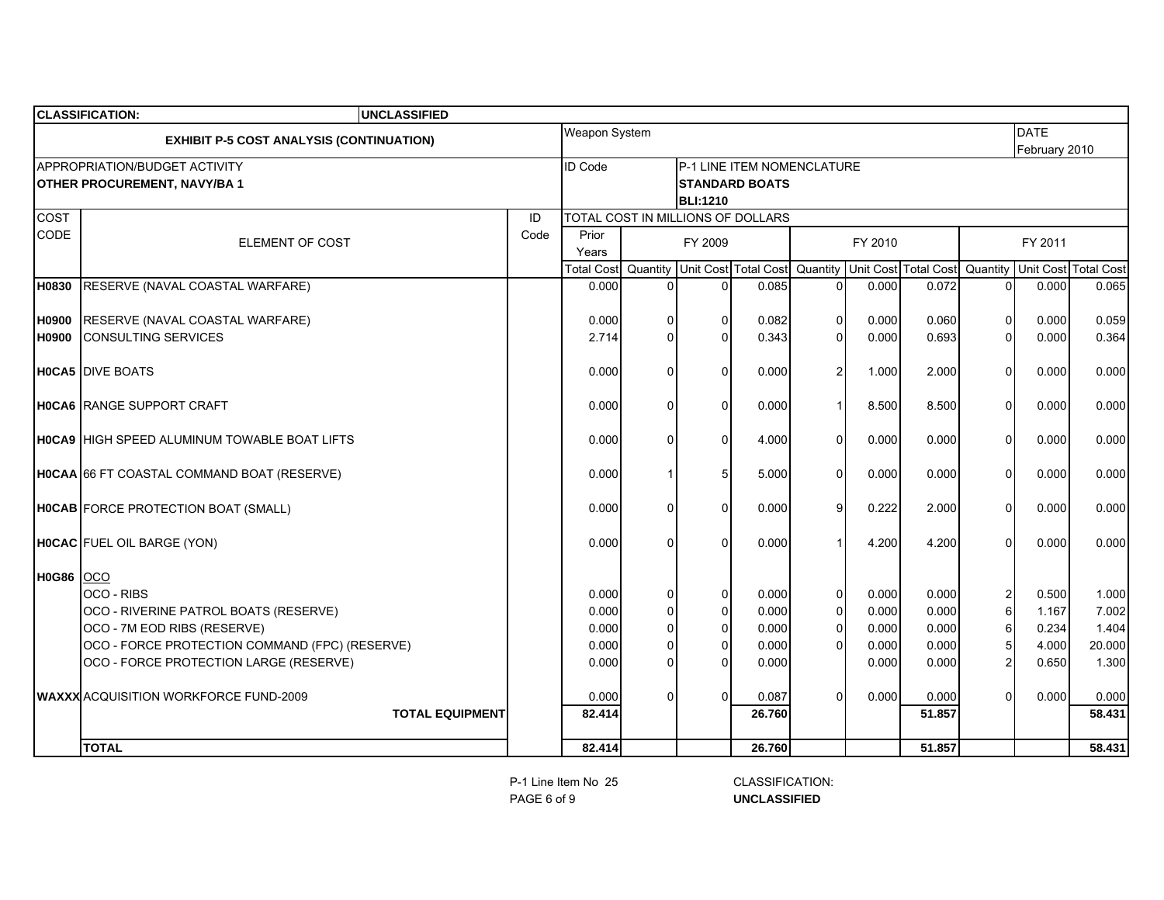|                  | <b>CLASSIFICATION:</b><br><b>UNCLASSIFIED</b>                                                                                                                                                                                  |      |                                                    |                                            |                                                                                      |                                                     |                                                                      |                                                    |                                                    |                                                                                       |                                                    |                                                     |
|------------------|--------------------------------------------------------------------------------------------------------------------------------------------------------------------------------------------------------------------------------|------|----------------------------------------------------|--------------------------------------------|--------------------------------------------------------------------------------------|-----------------------------------------------------|----------------------------------------------------------------------|----------------------------------------------------|----------------------------------------------------|---------------------------------------------------------------------------------------|----------------------------------------------------|-----------------------------------------------------|
|                  | <b>EXHIBIT P-5 COST ANALYSIS (CONTINUATION)</b>                                                                                                                                                                                |      | Weapon System                                      |                                            |                                                                                      |                                                     |                                                                      |                                                    |                                                    |                                                                                       | <b>DATE</b><br>February 2010                       |                                                     |
|                  | APPROPRIATION/BUDGET ACTIVITY<br><b>OTHER PROCUREMENT, NAVY/BA1</b>                                                                                                                                                            |      | <b>ID</b> Code                                     |                                            | <b>BLI:1210</b>                                                                      | P-1 LINE ITEM NOMENCLATURE<br><b>STANDARD BOATS</b> |                                                                      |                                                    |                                                    |                                                                                       |                                                    |                                                     |
| COST             |                                                                                                                                                                                                                                | ID   |                                                    |                                            |                                                                                      | TOTAL COST IN MILLIONS OF DOLLARS                   |                                                                      |                                                    |                                                    |                                                                                       |                                                    |                                                     |
| CODE             | ELEMENT OF COST                                                                                                                                                                                                                | Code | Prior<br>Years                                     |                                            | FY 2009                                                                              |                                                     |                                                                      | FY 2010                                            |                                                    |                                                                                       | FY 2011                                            |                                                     |
|                  |                                                                                                                                                                                                                                |      | Total Cost                                         |                                            |                                                                                      | Quantity Unit Cost Total Cost Quantity              |                                                                      |                                                    | Unit Cost Total Cost                               | Quantity                                                                              |                                                    | Unit Cost Total Cost                                |
| H0830            | RESERVE (NAVAL COASTAL WARFARE)                                                                                                                                                                                                |      | 0.000                                              | $\Omega$                                   | $\Omega$                                                                             | 0.085                                               | $\Omega$                                                             | 0.000                                              | 0.072                                              | $\Omega$                                                                              | 0.000                                              | 0.065                                               |
| <b>H0900</b>     | RESERVE (NAVAL COASTAL WARFARE)                                                                                                                                                                                                |      | 0.000                                              | 0                                          | $\Omega$                                                                             | 0.082                                               | $\mathbf 0$                                                          | 0.000                                              | 0.060                                              | $\mathbf 0$                                                                           | 0.000                                              | 0.059                                               |
| H0900            | <b>CONSULTING SERVICES</b>                                                                                                                                                                                                     |      | 2.714                                              | $\Omega$                                   | $\Omega$                                                                             | 0.343                                               | $\mathbf{0}$                                                         | 0.000                                              | 0.693                                              | $\Omega$                                                                              | 0.000                                              | 0.364                                               |
|                  | <b>HOCA5</b> DIVE BOATS                                                                                                                                                                                                        |      | 0.000                                              | 0                                          | $\Omega$                                                                             | 0.000                                               | $\overline{\mathbf{c}}$                                              | 1.000                                              | 2.000                                              | $\Omega$                                                                              | 0.000                                              | 0.000                                               |
|                  | <b>HOCA6</b> RANGE SUPPORT CRAFT                                                                                                                                                                                               |      | 0.000                                              | $\Omega$                                   | $\Omega$                                                                             | 0.000                                               | $\mathbf{1}$                                                         | 8.500                                              | 8.500                                              | $\Omega$                                                                              | 0.000                                              | 0.000                                               |
|                  | <b>HOCA9 HIGH SPEED ALUMINUM TOWABLE BOAT LIFTS</b>                                                                                                                                                                            |      | 0.000                                              | 0                                          | $\Omega$                                                                             | 4.000                                               | $\Omega$                                                             | 0.000                                              | 0.000                                              | $\Omega$                                                                              | 0.000                                              | 0.000                                               |
|                  | HOCAA 66 FT COASTAL COMMAND BOAT (RESERVE)                                                                                                                                                                                     |      | 0.000                                              |                                            |                                                                                      | 5.000                                               | $\Omega$                                                             | 0.000                                              | 0.000                                              | $\Omega$                                                                              | 0.000                                              | 0.000                                               |
|                  | HOCAB FORCE PROTECTION BOAT (SMALL)                                                                                                                                                                                            |      | 0.000                                              | 0                                          | $\Omega$                                                                             | 0.000                                               | 9                                                                    | 0.222                                              | 2.000                                              | $\Omega$                                                                              | 0.000                                              | 0.000                                               |
|                  | HOCAC FUEL OIL BARGE (YON)                                                                                                                                                                                                     |      | 0.000                                              | 0                                          | U                                                                                    | 0.000                                               |                                                                      | 4.200                                              | 4.200                                              | $\Omega$                                                                              | 0.000                                              | 0.000                                               |
| <b>H0G86</b> OCO | OCO - RIBS<br>OCO - RIVERINE PATROL BOATS (RESERVE)<br>OCO - 7M EOD RIBS (RESERVE)<br>OCO - FORCE PROTECTION COMMAND (FPC) (RESERVE)<br>OCO - FORCE PROTECTION LARGE (RESERVE)<br><b>WAXXX</b> ACQUISITION WORKFORCE FUND-2009 |      | 0.000<br>0.000<br>0.000<br>0.000<br>0.000<br>0.000 | 0<br>$\Omega$<br>$\Omega$<br>$\Omega$<br>0 | $\overline{0}$<br>$\overline{0}$<br>$\Omega$<br>$\mathbf{0}$<br>$\Omega$<br>$\Omega$ | 0.000<br>0.000<br>0.000<br>0.000<br>0.000<br>0.087  | $\mathsf{O}\xspace$<br>$\pmb{0}$<br>$\Omega$<br>$\Omega$<br>$\Omega$ | 0.000<br>0.000<br>0.000<br>0.000<br>0.000<br>0.000 | 0.000<br>0.000<br>0.000<br>0.000<br>0.000<br>0.000 | $\overline{\mathbf{c}}$<br>$\,6$<br>$\,6$<br>5<br>$\overline{\mathbf{c}}$<br>$\Omega$ | 0.500<br>1.167<br>0.234<br>4.000<br>0.650<br>0.000 | 1.000<br>7.002<br>1.404<br>20.000<br>1.300<br>0.000 |
|                  | <b>TOTAL EQUIPMENT</b>                                                                                                                                                                                                         |      | 82.414                                             |                                            |                                                                                      | 26.760                                              |                                                                      |                                                    | 51.857                                             |                                                                                       |                                                    | 58.431                                              |
|                  | <b>TOTAL</b>                                                                                                                                                                                                                   |      | 82.414                                             |                                            |                                                                                      | 26.760                                              |                                                                      |                                                    | 51.857                                             |                                                                                       |                                                    | 58.431                                              |

PAGE 6 of 9

 **UNCLASSIFIED** P-1 Line Item No 25 CLASSIFICATION: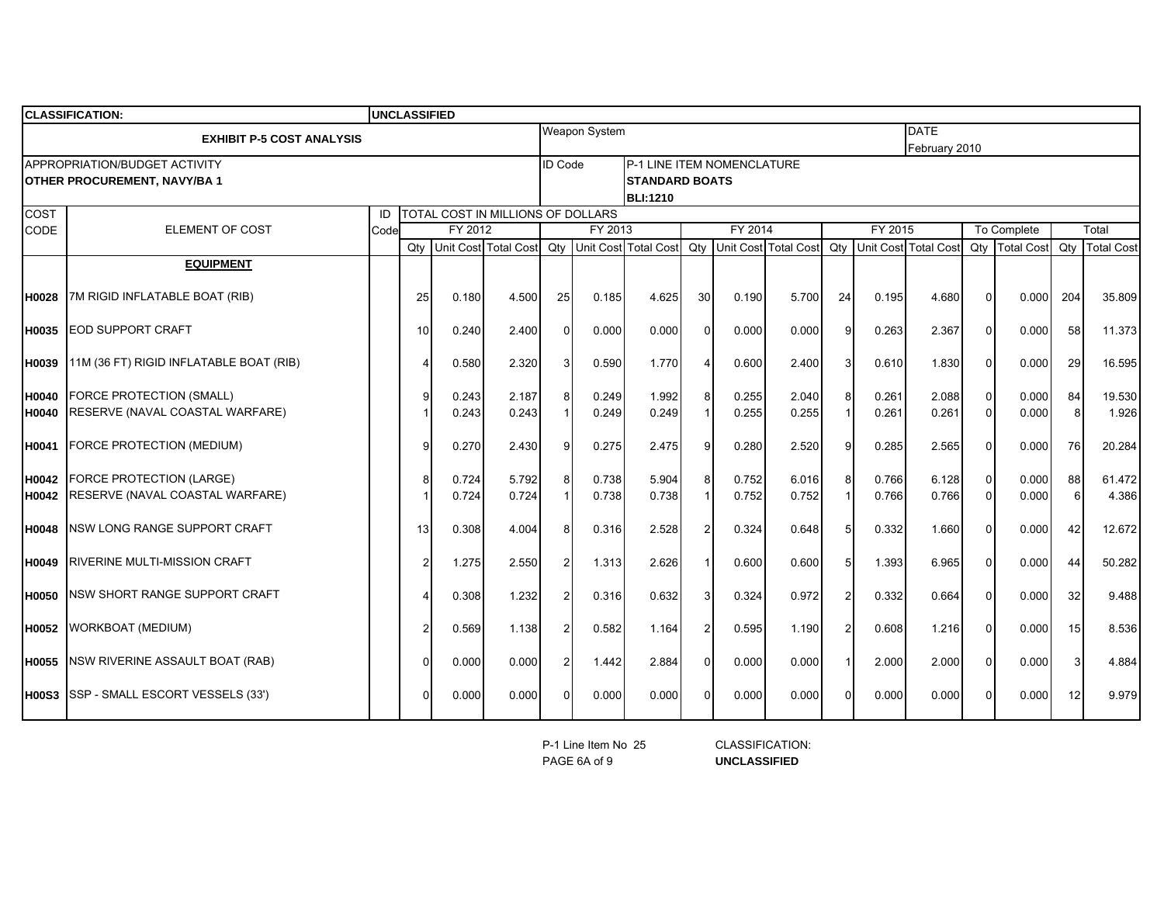|              | <b>CLASSIFICATION:</b>                                                     |      | <b>UNCLASSIFIED</b>               |         |       |                |                      |                                                                        |    |         |                          |                  |         |                                 |             |                |                 |                   |
|--------------|----------------------------------------------------------------------------|------|-----------------------------------|---------|-------|----------------|----------------------|------------------------------------------------------------------------|----|---------|--------------------------|------------------|---------|---------------------------------|-------------|----------------|-----------------|-------------------|
|              | <b>EXHIBIT P-5 COST ANALYSIS</b>                                           |      |                                   |         |       |                | <b>Weapon System</b> |                                                                        |    |         |                          |                  |         | <b>DATE</b><br>February 2010    |             |                |                 |                   |
|              | <b>APPROPRIATION/BUDGET ACTIVITY</b><br><b>OTHER PROCUREMENT, NAVY/BA1</b> |      |                                   |         |       | <b>ID Code</b> |                      | P-1 LINE ITEM NOMENCLATURE<br><b>STANDARD BOATS</b><br><b>BLI:1210</b> |    |         |                          |                  |         |                                 |             |                |                 |                   |
| <b>COST</b>  |                                                                            | ID   | TOTAL COST IN MILLIONS OF DOLLARS |         |       |                |                      |                                                                        |    |         |                          |                  |         |                                 |             |                |                 |                   |
| CODE         | <b>ELEMENT OF COST</b>                                                     | Code |                                   | FY 2012 |       | FY 2013        |                      |                                                                        |    | FY 2014 |                          |                  | FY 2015 |                                 | To Complete |                |                 | Total             |
|              |                                                                            |      | Qty                               |         |       |                |                      | Unit Cost Total Cost Qty Unit Cost Total Cost                          |    |         | Qty Unit Cost Total Cost |                  |         | <b>Qtv</b> Unit Cost Total Cost |             | Qty Total Cost | Qty             | <b>Total Cost</b> |
|              | <b>EQUIPMENT</b>                                                           |      |                                   |         |       |                |                      |                                                                        |    |         |                          |                  |         |                                 |             |                |                 |                   |
| <b>H0028</b> | 7M RIGID INFLATABLE BOAT (RIB)                                             |      | 25                                | 0.180   | 4.500 | 25             | 0.185                | 4.625                                                                  | 30 | 0.190   | 5.700                    | 24               | 0.195   | 4.680                           | $\Omega$    | 0.0001         | 204             | 35.809            |
| <b>H0035</b> | <b>EOD SUPPORT CRAFT</b>                                                   |      | 10                                | 0.240   | 2.400 | $\Omega$       | 0.000                | 0.000                                                                  |    | 0.000   | 0.000                    | 9                | 0.263   | 2.367                           | $\Omega$    | 0.000          | 58              | 11.373            |
| <b>H0039</b> | 11M (36 FT) RIGID INFLATABLE BOAT (RIB)                                    |      |                                   | 0.580   | 2.320 | 3              | 0.590                | 1.770                                                                  |    | 0.600   | 2.400                    | 3                | 0.610   | 1.830                           | $\Omega$    | 0.000          | 29              | 16.595            |
| <b>H0040</b> | <b>FORCE PROTECTION (SMALL)</b>                                            |      | g                                 | 0.243   | 2.187 | 8              | 0.249                | 1.992                                                                  |    | 0.255   | 2.040                    | 8                | 0.261   | 2.088                           | $\Omega$    | 0.000          | 84              | 19.530            |
| H0040        | RESERVE (NAVAL COASTAL WARFARE)                                            |      |                                   | 0.243   | 0.243 |                | 0.249                | 0.249                                                                  |    | 0.255   | 0.255                    |                  | 0.261   | 0.261                           | $\Omega$    | 0.000          | 8               | 1.926             |
| H0041        | FORCE PROTECTION (MEDIUM)                                                  |      |                                   | 0.270   | 2.430 | 9              | 0.275                | 2.475                                                                  |    | 0.280   | 2.520                    | 9                | 0.285   | 2.565                           | $\Omega$    | 0.000          | 76              | 20.284            |
| <b>H0042</b> | <b>FORCE PROTECTION (LARGE)</b>                                            |      |                                   | 0.724   | 5.792 | 8              | 0.738                | 5.904                                                                  |    | 0.752   | 6.016                    | 8                | 0.766   | 6.128                           | $\Omega$    | 0.000          | 88              | 61.472            |
| <b>H0042</b> | RESERVE (NAVAL COASTAL WARFARE)                                            |      |                                   | 0.724   | 0.724 |                | 0.738                | 0.738                                                                  |    | 0.752   | 0.752                    |                  | 0.766   | 0.766                           | $\Omega$    | 0.000          | 6               | 4.386             |
| <b>H0048</b> | <b>NSW LONG RANGE SUPPORT CRAFT</b>                                        |      | 13                                | 0.308   | 4.004 | 8              | 0.316                | 2.528                                                                  |    | 0.324   | 0.648                    | $5 \overline{5}$ | 0.332   | 1.660                           | $\Omega$    | 0.000          | 42              | 12.672            |
| <b>H0049</b> | <b>IRIVERINE MULTI-MISSION CRAFT</b>                                       |      | $\overline{2}$                    | 1.275   | 2.550 | $\overline{2}$ | 1.313                | 2.626                                                                  |    | 0.600   | 0.600                    | $5 \overline{5}$ | 1.393   | 6.965                           | $\Omega$    | 0.000          | 44              | 50.282            |
| <b>H0050</b> | NSW SHORT RANGE SUPPORT CRAFT                                              |      |                                   | 0.308   | 1.232 | $\overline{2}$ | 0.316                | 0.632                                                                  |    | 0.324   | 0.972                    | $\mathcal{P}$    | 0.332   | 0.664                           | $\Omega$    | 0.000          | 32              | 9.488             |
|              | H0052 WORKBOAT (MEDIUM)                                                    |      |                                   | 0.569   | 1.138 | $\overline{2}$ | 0.582                | 1.164                                                                  |    | 0.595   | 1.190                    | $\overline{2}$   | 0.608   | 1.216                           | $\Omega$    | 0.000          | 15              | 8.536             |
| H0055        | NSW RIVERINE ASSAULT BOAT (RAB)                                            |      |                                   | 0.000   | 0.000 | $\overline{2}$ | 1.442                | 2.884                                                                  |    | 0.000   | 0.000                    | $\overline{1}$   | 2.000   | 2.000                           | $\Omega$    | 0.000          | 3               | 4.884             |
|              | <b>H00S3</b> SSP - SMALL ESCORT VESSELS (33')                              |      |                                   | 0.000   | 0.000 |                | 0.000                | 0.000                                                                  |    | 0.000   | 0.000                    | $\Omega$         | 0.000   | 0.000                           |             | 0.000          | 12 <sub>l</sub> | 9.979             |

PAGE 6A of 9P-1 Line Item No 25 CLASSIFICATION:

**UNCLASSIFIED**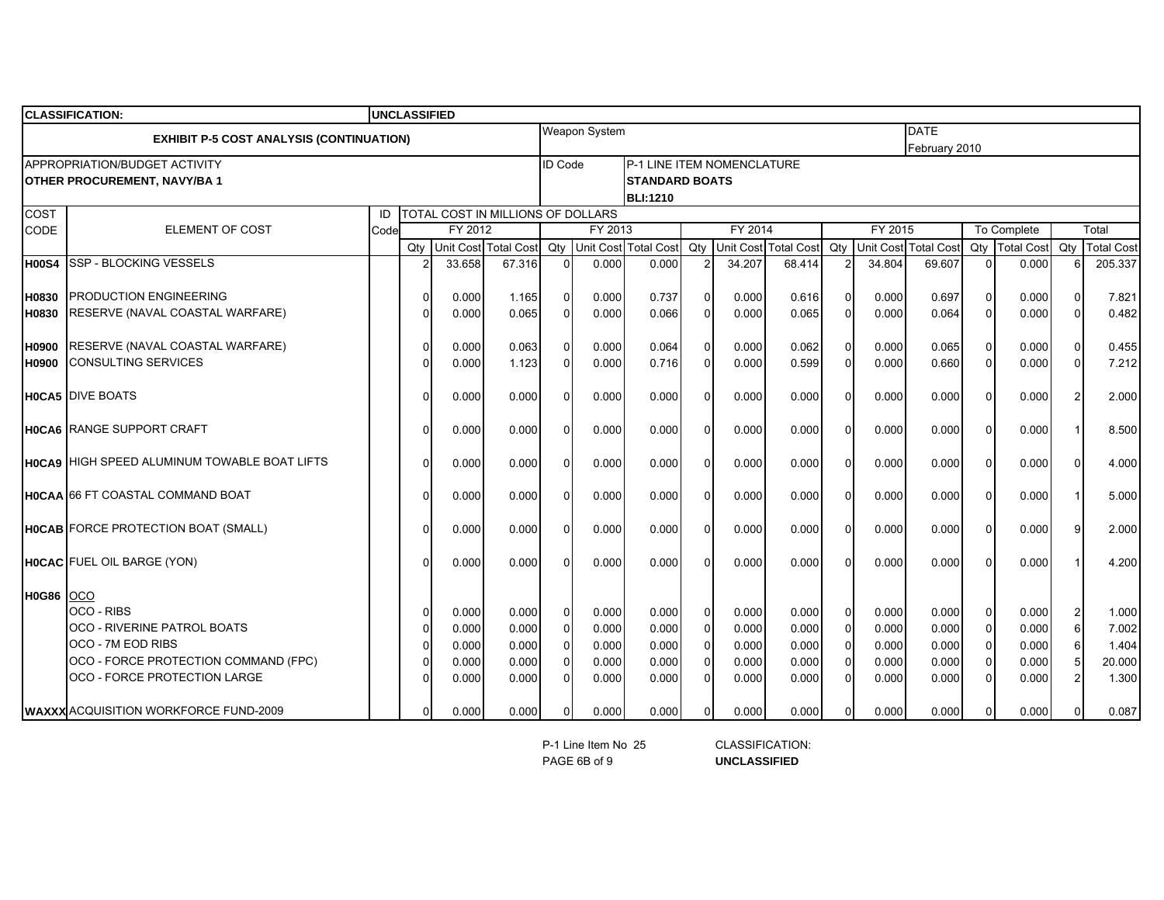|              | <b>CLASSIFICATION:</b>                              |      |              |         |                                   |                          |                      |                            |          |                             |        |                             |         |                               |                |       |                   |         |
|--------------|-----------------------------------------------------|------|--------------|---------|-----------------------------------|--------------------------|----------------------|----------------------------|----------|-----------------------------|--------|-----------------------------|---------|-------------------------------|----------------|-------|-------------------|---------|
|              | <b>EXHIBIT P-5 COST ANALYSIS (CONTINUATION)</b>     |      |              |         |                                   |                          | <b>Weapon System</b> |                            |          |                             |        |                             |         | DATE                          |                |       |                   |         |
|              |                                                     |      |              |         |                                   |                          |                      |                            |          |                             |        |                             |         | February 2010                 |                |       |                   |         |
|              | APPROPRIATION/BUDGET ACTIVITY                       |      |              |         |                                   | <b>ID Code</b>           |                      | P-1 LINE ITEM NOMENCLATURE |          |                             |        |                             |         |                               |                |       |                   |         |
|              | <b>OTHER PROCUREMENT, NAVY/BA1</b>                  |      |              |         |                                   |                          |                      | <b>STANDARD BOATS</b>      |          |                             |        |                             |         |                               |                |       |                   |         |
|              |                                                     |      |              |         |                                   |                          |                      | <b>BLI:1210</b>            |          |                             |        |                             |         |                               |                |       |                   |         |
| COST<br>CODE | <b>ELEMENT OF COST</b>                              | ID   |              | FY 2012 | TOTAL COST IN MILLIONS OF DOLLARS |                          | FY 2013              |                            |          | FY 2014                     |        |                             | FY 2015 |                               |                |       |                   | Total   |
|              |                                                     | Code |              |         | Unit Cost Total Cost              | Qty Unit Cost Total Cost |                      |                            |          | Qty<br>Unit Cost Total Cost |        | Qty<br>Unit Cost Total Cost |         | To Complete<br>Qty Total Cost |                | Qty   | <b>Total Cost</b> |         |
| <b>H00S4</b> | <b>SSP - BLOCKING VESSELS</b>                       |      | Qty          | 33.658  | 67.316                            | $\Omega$                 | 0.000                | 0.000                      |          | 34.207                      | 68.414 |                             | 34.804  | 69.607                        | $\Omega$       | 0.000 |                   | 205.337 |
|              |                                                     |      |              |         |                                   |                          |                      |                            |          |                             |        |                             |         |                               |                |       |                   |         |
| H0830        | PRODUCTION ENGINEERING                              |      | $\Omega$     | 0.000   | 1.165                             | $\Omega$                 | 0.000                | 0.737                      |          | 0.000                       | 0.616  | $\Omega$                    | 0.000   | 0.697                         | $\Omega$       | 0.000 | $\Omega$          | 7.821   |
| H0830        | RESERVE (NAVAL COASTAL WARFARE)                     |      | $\Omega$     | 0.000   | 0.065                             | $\Omega$                 | 0.000                | 0.066                      |          | 0.000                       | 0.065  | $\Omega$                    | 0.000   | 0.064                         | $\Omega$       | 0.000 | $\Omega$          | 0.482   |
|              |                                                     |      |              |         |                                   |                          |                      |                            |          |                             |        |                             |         |                               |                |       |                   |         |
| H0900        | RESERVE (NAVAL COASTAL WARFARE)                     |      | $\Omega$     | 0.000   | 0.063                             | $\Omega$                 | 0.000                | 0.064                      |          | 0.000                       | 0.062  | $\Omega$                    | 0.000   | 0.065                         | $\Omega$       | 0.000 | $\Omega$          | 0.455   |
| H0900        | <b>CONSULTING SERVICES</b>                          |      | U            | 0.000   | 1.123                             | $\Omega$                 | 0.000                | 0.716                      |          | 0.000                       | 0.599  | $\Omega$                    | 0.000   | 0.660                         | $\Omega$       | 0.000 | $\Omega$          | 7.212   |
|              |                                                     |      |              |         |                                   |                          |                      |                            |          |                             |        |                             |         |                               |                |       |                   |         |
|              | <b>HOCA5</b> DIVE BOATS                             |      | $\Omega$     | 0.000   | 0.000                             | $\Omega$                 | 0.000                | 0.000                      |          | 0.000                       | 0.000  | $\Omega$                    | 0.000   | 0.000                         | $\Omega$       | 0.000 | $\overline{2}$    | 2.000   |
|              |                                                     |      |              |         |                                   |                          |                      |                            |          |                             |        |                             |         |                               |                |       |                   |         |
|              | <b>HOCA6</b> RANGE SUPPORT CRAFT                    |      | <sup>0</sup> | 0.000   | 0.000                             | $\Omega$                 | 0.000                | 0.000                      |          | 0.000                       | 0.000  | $\Omega$                    | 0.000   | 0.000                         | $\mathbf{0}$   | 0.000 |                   | 8.500   |
|              |                                                     |      |              |         |                                   |                          |                      |                            |          |                             |        |                             |         |                               |                |       |                   |         |
|              | <b>HOCA9 HIGH SPEED ALUMINUM TOWABLE BOAT LIFTS</b> |      | $\Omega$     | 0.000   | 0.000                             | $\Omega$                 | 0.000                | 0.000                      |          | 0.000                       | 0.000  | $\Omega$                    | 0.000   | 0.000                         | $\Omega$       | 0.000 | $\Omega$          | 4.000   |
|              |                                                     |      |              |         |                                   |                          |                      |                            |          |                             |        |                             |         |                               |                |       |                   |         |
|              | <b>HOCAA 66 FT COASTAL COMMAND BOAT</b>             |      | $\Omega$     | 0.000   | 0.000                             | $\Omega$                 | 0.000                | 0.000                      |          | 0.000                       | 0.000  | $\Omega$                    | 0.000   | 0.000                         | $\Omega$       | 0.000 |                   | 5.000   |
|              |                                                     |      |              |         |                                   |                          |                      |                            |          |                             |        |                             |         |                               |                |       |                   |         |
|              | <b>HOCAB</b> FORCE PROTECTION BOAT (SMALL)          |      | $\Omega$     | 0.000   | 0.000                             | 0                        | 0.000                | 0.000                      |          | 0.000                       | 0.000  | $\Omega$                    | 0.000   | 0.000                         | $\Omega$       | 0.000 | 9                 | 2.000   |
|              |                                                     |      | $\Omega$     |         | 0.000                             | U                        |                      | 0.000                      |          |                             | 0.000  | $\Omega$                    | 0.000   | 0.000                         | $\Omega$       | 0.000 |                   |         |
|              | <b>HOCAC</b> FUEL OIL BARGE (YON)                   |      |              | 0.000   |                                   |                          | 0.000                |                            |          | 0.000                       |        |                             |         |                               |                |       |                   | 4.200   |
| H0G86        | <b>OCO</b>                                          |      |              |         |                                   |                          |                      |                            |          |                             |        |                             |         |                               |                |       |                   |         |
|              | OCO - RIBS                                          |      | 0            | 0.000   | 0.000                             | $\mathbf{0}$             | 0.000                | 0.000                      | $\Omega$ | 0.000                       | 0.000  | $\Omega$                    | 0.000   | 0.000                         | $\overline{0}$ | 0.000 | 2                 | 1.000   |
|              | <b>OCO - RIVERINE PATROL BOATS</b>                  |      | $\Omega$     | 0.000   | 0.000                             | $\Omega$                 | 0.000                | 0.000                      |          | 0.000                       | 0.000  | $\Omega$                    | 0.000   | 0.000                         | $\overline{0}$ | 0.000 | 6                 | 7.002   |
|              | OCO - 7M EOD RIBS                                   |      |              | 0.000   | 0.000                             | $\mathbf 0$              | 0.000                | 0.000                      |          | 0.000                       | 0.000  | $\Omega$                    | 0.000   | 0.000                         | $\overline{0}$ | 0.000 | 6                 | 1.404   |
|              | OCO - FORCE PROTECTION COMMAND (FPC)                |      |              | 0.000   | 0.000                             | 0                        | 0.000                | 0.000                      |          | 0.000                       | 0.000  | $\Omega$                    | 0.000   | 0.000                         | $\overline{0}$ | 0.000 | 5                 | 20.000  |
|              | OCO - FORCE PROTECTION LARGE                        |      |              | 0.000   | 0.000                             | 0                        | 0.000                | 0.000                      |          | 0.000                       | 0.000  | $\Omega$                    | 0.000   | 0.000                         | $\Omega$       | 0.000 | $\overline{2}$    | 1.300   |
|              |                                                     |      |              |         |                                   |                          |                      |                            |          |                             |        |                             |         |                               |                |       |                   |         |
|              | <b>WAXXX</b> ACQUISITION WORKFORCE FUND-2009        |      | $\Omega$     | 0.000   | 0.000                             | $\Omega$                 | 0.000                | 0.000                      |          | 0.000                       | 0.000  | $\Omega$                    | 0.000   | 0.000                         | $\Omega$       | 0.000 | 0                 | 0.087   |

PAGE 6B of 9P-1 Line Item No 25 CLASSIFICATION:

**UNCLASSIFIED**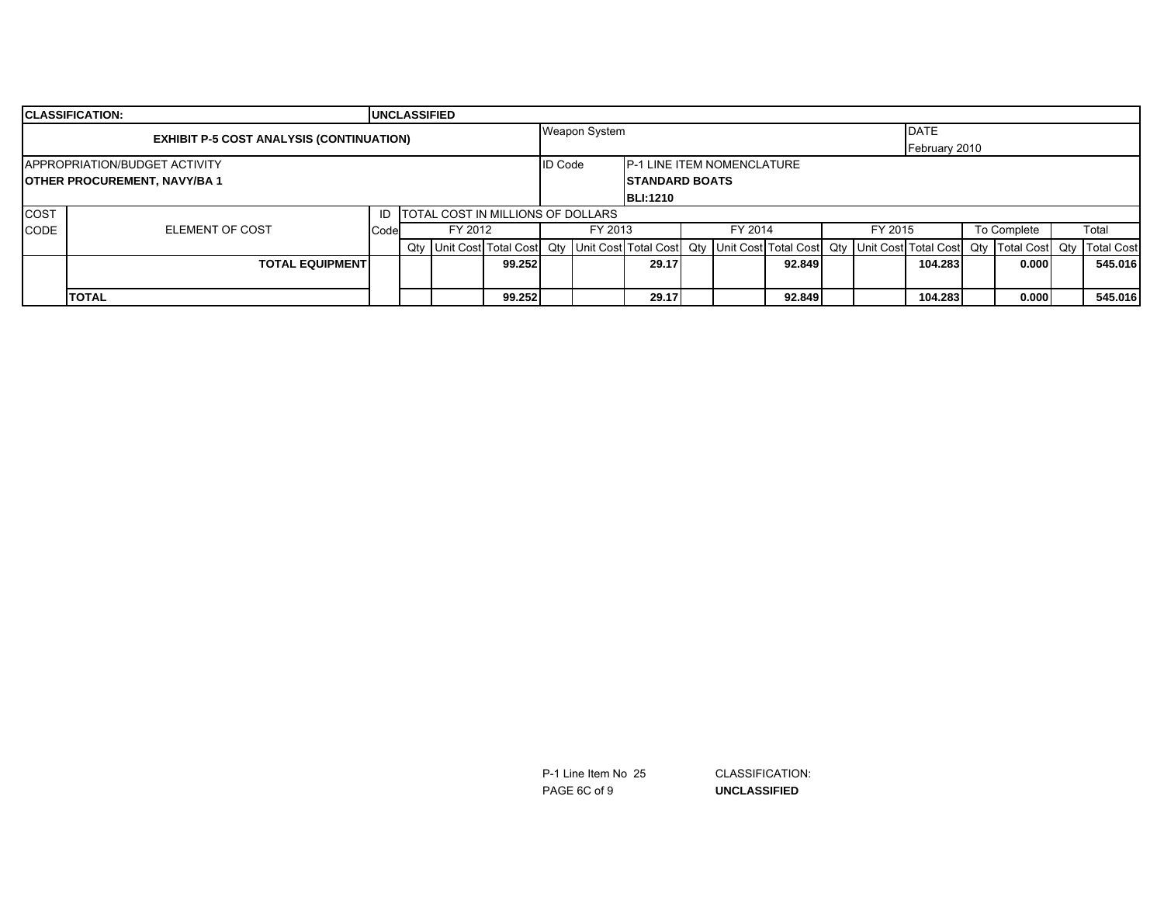|             | <b>ICLASSIFICATION:</b>                         |      | <b>UNCLASSIFIED</b>    |         |                                   |                |               |                                    |  |         |        |  |         |               |                                                                                                                                                                        |  |         |
|-------------|-------------------------------------------------|------|------------------------|---------|-----------------------------------|----------------|---------------|------------------------------------|--|---------|--------|--|---------|---------------|------------------------------------------------------------------------------------------------------------------------------------------------------------------------|--|---------|
|             | <b>EXHIBIT P-5 COST ANALYSIS (CONTINUATION)</b> |      |                        |         |                                   |                | Weapon System |                                    |  |         |        |  |         | <b>DATE</b>   |                                                                                                                                                                        |  |         |
|             |                                                 |      |                        |         |                                   |                |               |                                    |  |         |        |  |         | February 2010 |                                                                                                                                                                        |  |         |
|             | <b>APPROPRIATION/BUDGET ACTIVITY</b>            |      |                        |         |                                   | <b>ID Code</b> |               | <b>IP-1 LINE ITEM NOMENCLATURE</b> |  |         |        |  |         |               |                                                                                                                                                                        |  |         |
|             | <b>OTHER PROCUREMENT, NAVY/BA1</b>              |      | <b>ISTANDARD BOATS</b> |         |                                   |                |               |                                    |  |         |        |  |         |               |                                                                                                                                                                        |  |         |
|             |                                                 |      |                        |         | <b>BLI:1210</b>                   |                |               |                                    |  |         |        |  |         |               |                                                                                                                                                                        |  |         |
| <b>COST</b> |                                                 | ID   |                        |         | TOTAL COST IN MILLIONS OF DOLLARS |                |               |                                    |  |         |        |  |         |               |                                                                                                                                                                        |  |         |
| CODE        | <b>ELEMENT OF COST</b>                          | Code |                        | FY 2012 |                                   |                | FY 2013       |                                    |  | FY 2014 |        |  | FY 2015 |               | To Complete                                                                                                                                                            |  | Total   |
|             |                                                 |      |                        |         |                                   |                |               |                                    |  |         |        |  |         |               | Qty   Unit Cost   Total Cost   Qty   Unit Cost   Total Cost   Qty   Unit Cost   Total Cost   Qty   Total Cost   Qty   Total Cost   Qty   Total Cost   Qty   Total Cost |  |         |
|             | <b>TOTAL EQUIPMENT</b>                          |      |                        |         | 99.252                            |                |               | 29.17                              |  |         | 92.849 |  |         | 104.283       | 0.000                                                                                                                                                                  |  | 545.016 |
|             |                                                 |      |                        |         |                                   |                |               |                                    |  |         |        |  |         |               |                                                                                                                                                                        |  |         |
|             | <b>TOTAL</b>                                    |      |                        |         | 99.252                            |                |               | 29.17                              |  |         | 92.849 |  |         | 104.283       | 0.000                                                                                                                                                                  |  | 545.016 |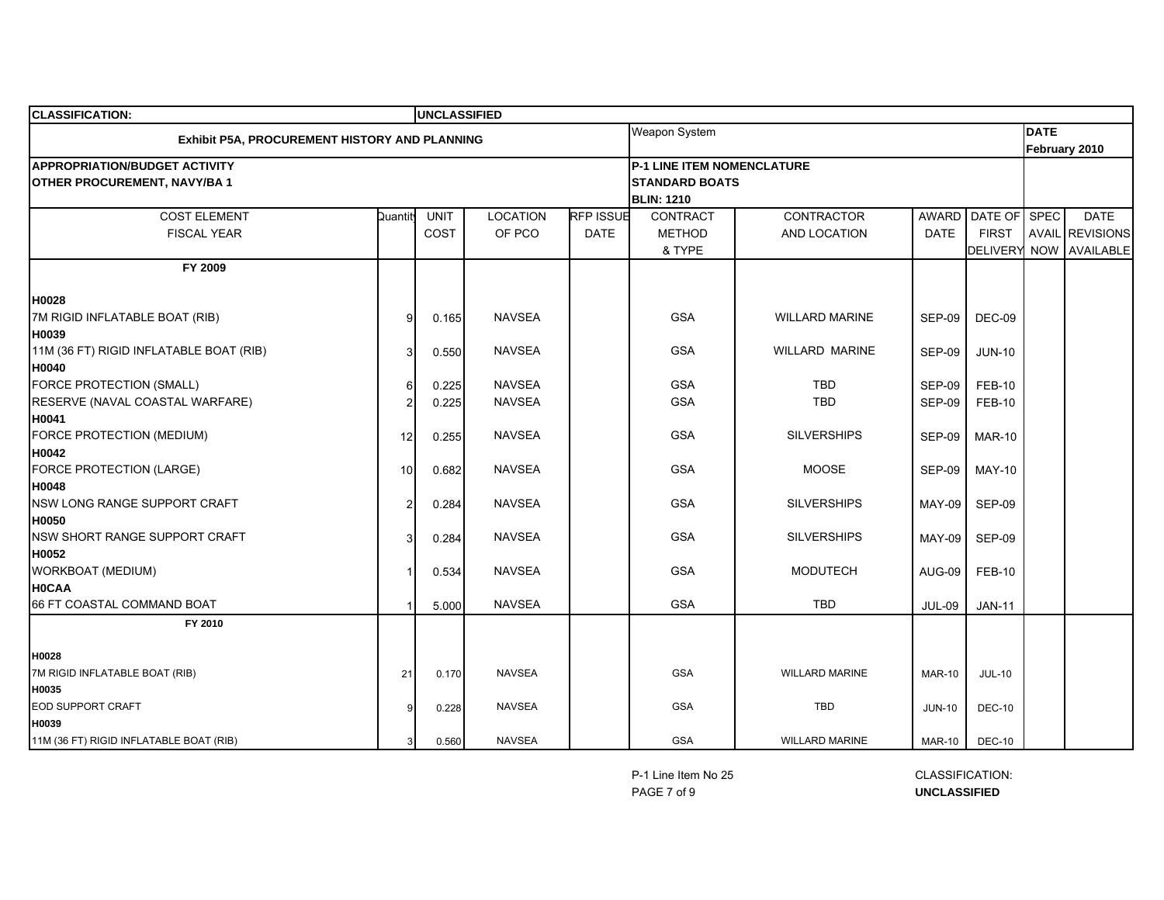| <b>CLASSIFICATION:</b>                        |          | <b>UNCLASSIFIED</b> |                 |                  |                                   |                       |               |                 |             |                        |
|-----------------------------------------------|----------|---------------------|-----------------|------------------|-----------------------------------|-----------------------|---------------|-----------------|-------------|------------------------|
| Exhibit P5A, PROCUREMENT HISTORY AND PLANNING |          |                     |                 |                  | Weapon System                     |                       |               |                 | <b>DATE</b> |                        |
|                                               |          |                     |                 |                  |                                   |                       |               |                 |             | February 2010          |
| <b>APPROPRIATION/BUDGET ACTIVITY</b>          |          |                     |                 |                  | <b>P-1 LINE ITEM NOMENCLATURE</b> |                       |               |                 |             |                        |
| <b>OTHER PROCUREMENT, NAVY/BA1</b>            |          |                     |                 |                  | <b>STANDARD BOATS</b>             |                       |               |                 |             |                        |
|                                               |          |                     |                 |                  | <b>BLIN: 1210</b>                 |                       |               |                 |             |                        |
| <b>COST ELEMENT</b>                           | Quantity | <b>UNIT</b>         | <b>LOCATION</b> | <b>RFP ISSUE</b> | CONTRACT                          | CONTRACTOR            | AWARD         | DATE OF SPEC    |             | <b>DATE</b>            |
| <b>FISCAL YEAR</b>                            |          | COST                | OF PCO          | <b>DATE</b>      | <b>METHOD</b>                     | AND LOCATION          | <b>DATE</b>   | <b>FIRST</b>    |             | <b>AVAIL REVISIONS</b> |
|                                               |          |                     |                 |                  | & TYPE                            |                       |               | <b>DELIVERY</b> |             | NOW AVAILABLE          |
| FY 2009                                       |          |                     |                 |                  |                                   |                       |               |                 |             |                        |
| H0028                                         |          |                     |                 |                  |                                   |                       |               |                 |             |                        |
| 7M RIGID INFLATABLE BOAT (RIB)                | 9        | 0.165               | <b>NAVSEA</b>   |                  | <b>GSA</b>                        | <b>WILLARD MARINE</b> | <b>SEP-09</b> | DEC-09          |             |                        |
| H0039                                         |          |                     |                 |                  |                                   |                       |               |                 |             |                        |
| 11M (36 FT) RIGID INFLATABLE BOAT (RIB)       |          | 0.550               | <b>NAVSEA</b>   |                  | <b>GSA</b>                        | <b>WILLARD MARINE</b> | <b>SEP-09</b> | <b>JUN-10</b>   |             |                        |
| H0040                                         |          |                     |                 |                  |                                   |                       |               |                 |             |                        |
| <b>FORCE PROTECTION (SMALL)</b>               | ĥ        | 0.225               | <b>NAVSEA</b>   |                  | <b>GSA</b>                        | <b>TBD</b>            | <b>SEP-09</b> | <b>FEB-10</b>   |             |                        |
| RESERVE (NAVAL COASTAL WARFARE)               |          | 0.225               | <b>NAVSEA</b>   |                  | <b>GSA</b>                        | <b>TBD</b>            | <b>SEP-09</b> | <b>FEB-10</b>   |             |                        |
| H0041                                         |          |                     |                 |                  |                                   |                       |               |                 |             |                        |
| FORCE PROTECTION (MEDIUM)                     | 12       | 0.255               | <b>NAVSEA</b>   |                  | <b>GSA</b>                        | <b>SILVERSHIPS</b>    | <b>SEP-09</b> | <b>MAR-10</b>   |             |                        |
| H0042                                         |          |                     |                 |                  |                                   |                       |               |                 |             |                        |
| FORCE PROTECTION (LARGE)                      | 10       | 0.682               | <b>NAVSEA</b>   |                  | <b>GSA</b>                        | <b>MOOSE</b>          | <b>SEP-09</b> | <b>MAY-10</b>   |             |                        |
| H0048                                         |          |                     |                 |                  |                                   |                       |               |                 |             |                        |
| NSW LONG RANGE SUPPORT CRAFT                  | 2        | 0.284               | <b>NAVSEA</b>   |                  | <b>GSA</b>                        | <b>SILVERSHIPS</b>    | <b>MAY-09</b> | <b>SEP-09</b>   |             |                        |
| <b>H0050</b>                                  |          |                     |                 |                  |                                   |                       |               |                 |             |                        |
| NSW SHORT RANGE SUPPORT CRAFT                 |          | 0.284               | <b>NAVSEA</b>   |                  | <b>GSA</b>                        | <b>SILVERSHIPS</b>    | <b>MAY-09</b> | <b>SEP-09</b>   |             |                        |
| H0052                                         |          |                     |                 |                  |                                   |                       |               |                 |             |                        |
| WORKBOAT (MEDIUM)                             |          | 0.534               | <b>NAVSEA</b>   |                  | <b>GSA</b>                        | <b>MODUTECH</b>       | <b>AUG-09</b> | <b>FEB-10</b>   |             |                        |
| <b>H0CAA</b>                                  |          |                     |                 |                  |                                   |                       |               |                 |             |                        |
| 66 FT COASTAL COMMAND BOAT                    |          | 5.000               | <b>NAVSEA</b>   |                  | <b>GSA</b>                        | TBD                   | <b>JUL-09</b> | <b>JAN-11</b>   |             |                        |
| FY 2010                                       |          |                     |                 |                  |                                   |                       |               |                 |             |                        |
| H0028                                         |          |                     |                 |                  |                                   |                       |               |                 |             |                        |
| 7M RIGID INFLATABLE BOAT (RIB)                | 21       | 0.170               | <b>NAVSEA</b>   |                  | <b>GSA</b>                        | <b>WILLARD MARINE</b> | <b>MAR-10</b> | <b>JUL-10</b>   |             |                        |
| H0035                                         |          |                     |                 |                  |                                   |                       |               |                 |             |                        |
| EOD SUPPORT CRAFT                             |          | 0.228               | <b>NAVSEA</b>   |                  | <b>GSA</b>                        | <b>TBD</b>            | <b>JUN-10</b> | <b>DEC-10</b>   |             |                        |
| H0039                                         |          |                     |                 |                  |                                   |                       |               |                 |             |                        |
| 11M (36 FT) RIGID INFLATABLE BOAT (RIB)       |          | 0.560               | <b>NAVSEA</b>   |                  | <b>GSA</b>                        | <b>WILLARD MARINE</b> | <b>MAR-10</b> | <b>DEC-10</b>   |             |                        |

P-1 Line Item No 25PAGE 7 of 9

 CLASSIFICATION: **UNCLASSIFIED**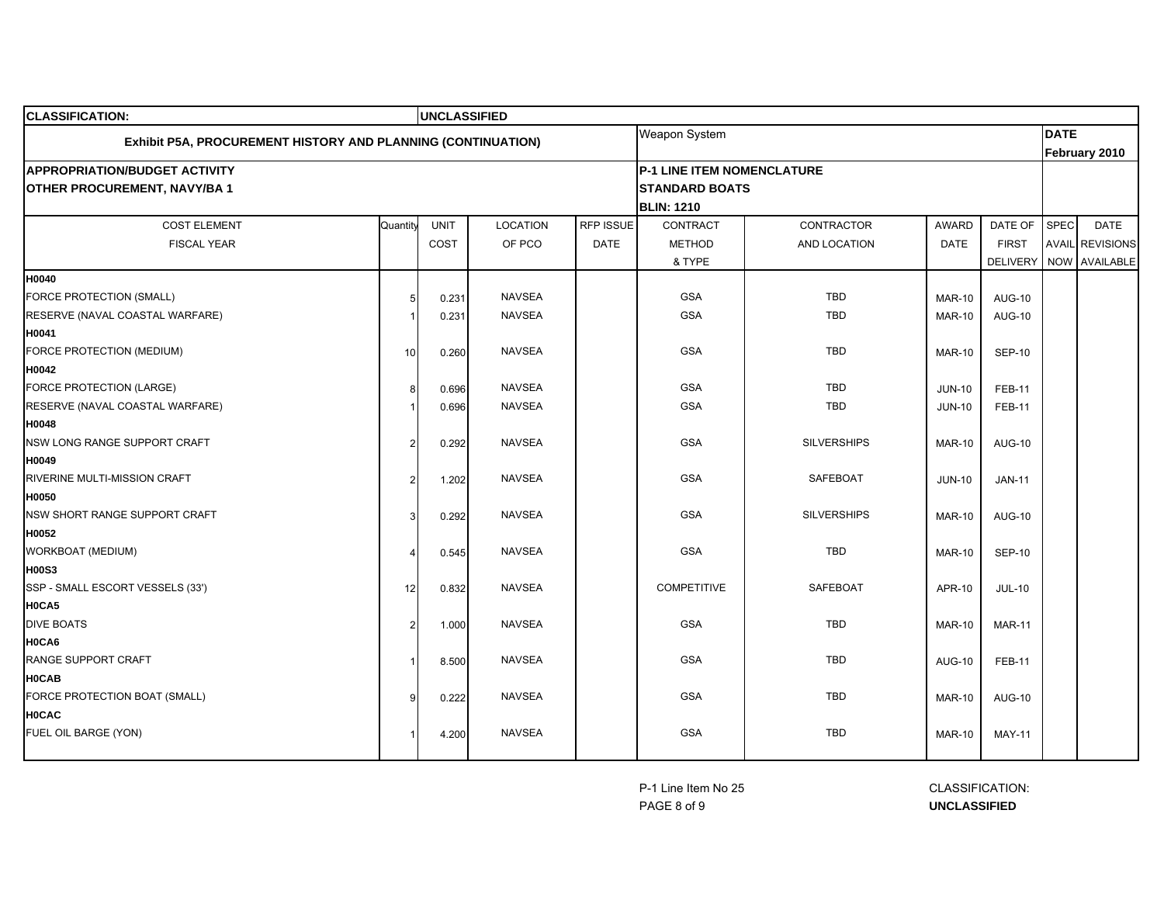| <b>CLASSIFICATION:</b>                                       |          | <b>UNCLASSIFIED</b> |                 |             |                            |                    |               |                 |             |                        |
|--------------------------------------------------------------|----------|---------------------|-----------------|-------------|----------------------------|--------------------|---------------|-----------------|-------------|------------------------|
| Exhibit P5A, PROCUREMENT HISTORY AND PLANNING (CONTINUATION) |          |                     |                 |             | Weapon System              |                    |               |                 | <b>DATE</b> |                        |
|                                                              |          |                     |                 |             |                            |                    |               |                 |             | February 2010          |
| <b>APPROPRIATION/BUDGET ACTIVITY</b>                         |          |                     |                 |             | P-1 LINE ITEM NOMENCLATURE |                    |               |                 |             |                        |
| <b>OTHER PROCUREMENT, NAVY/BA1</b>                           |          |                     |                 |             | <b>STANDARD BOATS</b>      |                    |               |                 |             |                        |
|                                                              |          |                     |                 |             | <b>BLIN: 1210</b>          |                    |               |                 |             |                        |
| <b>COST ELEMENT</b>                                          | Quantity | <b>UNIT</b>         | <b>LOCATION</b> | RFP ISSUE   | CONTRACT                   | <b>CONTRACTOR</b>  | <b>AWARD</b>  | DATE OF         | SPEC        | <b>DATE</b>            |
| <b>FISCAL YEAR</b>                                           |          | COST                | OF PCO          | <b>DATE</b> | <b>METHOD</b>              | AND LOCATION       | <b>DATE</b>   | <b>FIRST</b>    |             | <b>AVAIL REVISIONS</b> |
|                                                              |          |                     |                 |             | & TYPE                     |                    |               | <b>DELIVERY</b> |             | NOW AVAILABLE          |
| H0040                                                        |          |                     |                 |             |                            |                    |               |                 |             |                        |
| FORCE PROTECTION (SMALL)                                     | 5        | 0.231               | <b>NAVSEA</b>   |             | <b>GSA</b>                 | <b>TBD</b>         | <b>MAR-10</b> | <b>AUG-10</b>   |             |                        |
| RESERVE (NAVAL COASTAL WARFARE)                              |          | 0.231               | <b>NAVSEA</b>   |             | <b>GSA</b>                 | <b>TBD</b>         | <b>MAR-10</b> | <b>AUG-10</b>   |             |                        |
| H0041                                                        |          |                     |                 |             |                            |                    |               |                 |             |                        |
| FORCE PROTECTION (MEDIUM)                                    | 10       | 0.260               | <b>NAVSEA</b>   |             | <b>GSA</b>                 | <b>TBD</b>         | <b>MAR-10</b> | <b>SEP-10</b>   |             |                        |
| H0042                                                        |          |                     |                 |             |                            |                    |               |                 |             |                        |
| FORCE PROTECTION (LARGE)                                     | 8        | 0.696               | <b>NAVSEA</b>   |             | <b>GSA</b>                 | TBD                | <b>JUN-10</b> | <b>FEB-11</b>   |             |                        |
| RESERVE (NAVAL COASTAL WARFARE)                              |          | 0.696               | <b>NAVSEA</b>   |             | <b>GSA</b>                 | TBD                | <b>JUN-10</b> | <b>FEB-11</b>   |             |                        |
| H0048                                                        |          |                     |                 |             |                            |                    |               |                 |             |                        |
| NSW LONG RANGE SUPPORT CRAFT                                 | 2        | 0.292               | <b>NAVSEA</b>   |             | <b>GSA</b>                 | <b>SILVERSHIPS</b> | <b>MAR-10</b> | <b>AUG-10</b>   |             |                        |
| H0049                                                        |          |                     |                 |             |                            |                    |               |                 |             |                        |
| RIVERINE MULTI-MISSION CRAFT                                 |          | 1.202               | <b>NAVSEA</b>   |             | <b>GSA</b>                 | <b>SAFEBOAT</b>    | <b>JUN-10</b> | <b>JAN-11</b>   |             |                        |
| H0050                                                        |          |                     |                 |             |                            |                    |               |                 |             |                        |
| NSW SHORT RANGE SUPPORT CRAFT                                |          | 0.292               | <b>NAVSEA</b>   |             | <b>GSA</b>                 | <b>SILVERSHIPS</b> | <b>MAR-10</b> | <b>AUG-10</b>   |             |                        |
| H0052                                                        |          |                     |                 |             |                            |                    |               |                 |             |                        |
| WORKBOAT (MEDIUM)                                            |          | 0.545               | <b>NAVSEA</b>   |             | <b>GSA</b>                 | <b>TBD</b>         | <b>MAR-10</b> | <b>SEP-10</b>   |             |                        |
| <b>H00S3</b><br>SSP - SMALL ESCORT VESSELS (33')             |          |                     | <b>NAVSEA</b>   |             | <b>COMPETITIVE</b>         | <b>SAFEBOAT</b>    |               |                 |             |                        |
| H0CA5                                                        | 12       | 0.832               |                 |             |                            |                    | APR-10        | <b>JUL-10</b>   |             |                        |
| <b>DIVE BOATS</b>                                            | 2        | 1.000               | <b>NAVSEA</b>   |             | <b>GSA</b>                 | <b>TBD</b>         | <b>MAR-10</b> | <b>MAR-11</b>   |             |                        |
| H0CA6                                                        |          |                     |                 |             |                            |                    |               |                 |             |                        |
| RANGE SUPPORT CRAFT                                          |          | 8.500               | <b>NAVSEA</b>   |             | <b>GSA</b>                 | <b>TBD</b>         | <b>AUG-10</b> | <b>FEB-11</b>   |             |                        |
| <b>HOCAB</b>                                                 |          |                     |                 |             |                            |                    |               |                 |             |                        |
| FORCE PROTECTION BOAT (SMALL)                                |          | 0.222               | <b>NAVSEA</b>   |             | <b>GSA</b>                 | <b>TBD</b>         | <b>MAR-10</b> | <b>AUG-10</b>   |             |                        |
| <b>HOCAC</b>                                                 |          |                     |                 |             |                            |                    |               |                 |             |                        |
| FUEL OIL BARGE (YON)                                         |          | 4.200               | <b>NAVSEA</b>   |             | <b>GSA</b>                 | TBD                | <b>MAR-10</b> | <b>MAY-11</b>   |             |                        |
|                                                              |          |                     |                 |             |                            |                    |               |                 |             |                        |

P-1 Line Item No 25PAGE 8 of 9

 CLASSIFICATION: **UNCLASSIFIED**